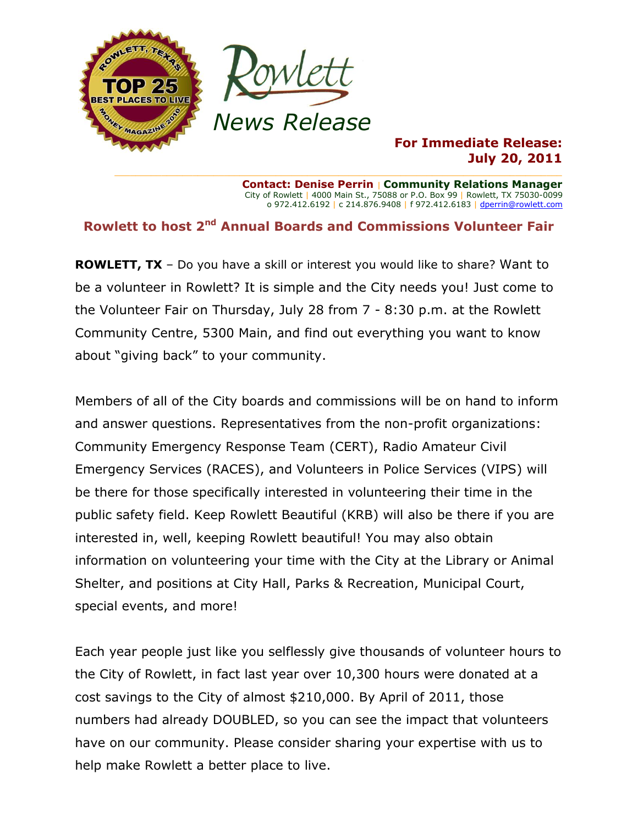

### **For Immediate Release: July 20, 2011**

**Contact: Denise Perrin** | **Community Relations Manager** City of Rowlett | 4000 Main St., 75088 or P.O. Box 99 | Rowlett, TX 75030-0099 o 972.412.6192 | c 214.876.9408 | f 972.412.6183 [| dperrin@rowlett.com](mailto:dperrin@rowlett.com)

# **Rowlett to host 2<sup>nd</sup> Annual Boards and Commissions Volunteer Fair**

**ROWLETT, TX** – Do you have a skill or interest you would like to share? Want to be a volunteer in Rowlett? It is simple and the City needs you! Just come to the Volunteer Fair on Thursday, July 28 from 7 - 8:30 p.m. at the Rowlett Community Centre, 5300 Main, and find out everything you want to know about "giving back" to your community.

Members of all of the City boards and commissions will be on hand to inform and answer questions. Representatives from the non-profit organizations: Community Emergency Response Team (CERT), Radio Amateur Civil Emergency Services (RACES), and Volunteers in Police Services (VIPS) will be there for those specifically interested in volunteering their time in the public safety field. Keep Rowlett Beautiful (KRB) will also be there if you are interested in, well, keeping Rowlett beautiful! You may also obtain information on volunteering your time with the City at the Library or Animal Shelter, and positions at City Hall, Parks & Recreation, Municipal Court, special events, and more!

Each year people just like you selflessly give thousands of volunteer hours to the City of Rowlett, in fact last year over 10,300 hours were donated at a cost savings to the City of almost \$210,000. By April of 2011, those numbers had already DOUBLED, so you can see the impact that volunteers have on our community. Please consider sharing your expertise with us to help make Rowlett a better place to live.